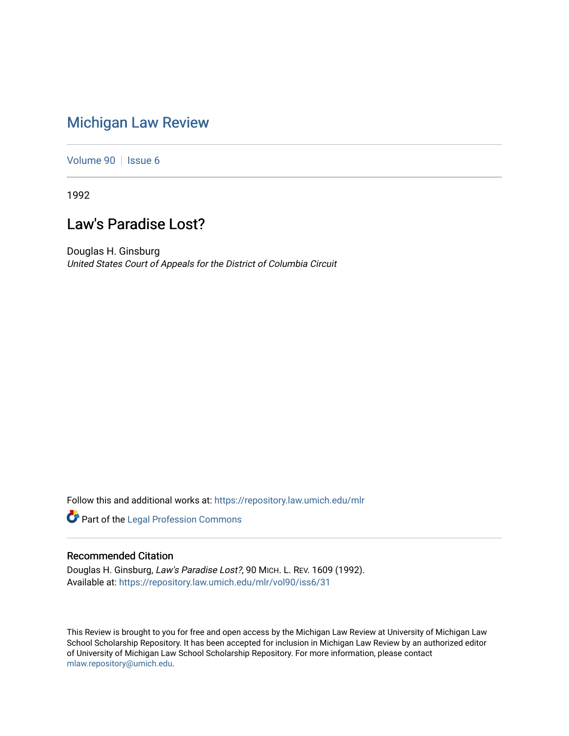# [Michigan Law Review](https://repository.law.umich.edu/mlr)

[Volume 90](https://repository.law.umich.edu/mlr/vol90) | [Issue 6](https://repository.law.umich.edu/mlr/vol90/iss6)

1992

# Law's Paradise Lost?

Douglas H. Ginsburg United States Court of Appeals for the District of Columbia Circuit

Follow this and additional works at: [https://repository.law.umich.edu/mlr](https://repository.law.umich.edu/mlr?utm_source=repository.law.umich.edu%2Fmlr%2Fvol90%2Fiss6%2F31&utm_medium=PDF&utm_campaign=PDFCoverPages) 

**Part of the [Legal Profession Commons](http://network.bepress.com/hgg/discipline/1075?utm_source=repository.law.umich.edu%2Fmlr%2Fvol90%2Fiss6%2F31&utm_medium=PDF&utm_campaign=PDFCoverPages)** 

### Recommended Citation

Douglas H. Ginsburg, Law's Paradise Lost?, 90 MICH. L. REV. 1609 (1992). Available at: [https://repository.law.umich.edu/mlr/vol90/iss6/31](https://repository.law.umich.edu/mlr/vol90/iss6/31?utm_source=repository.law.umich.edu%2Fmlr%2Fvol90%2Fiss6%2F31&utm_medium=PDF&utm_campaign=PDFCoverPages) 

This Review is brought to you for free and open access by the Michigan Law Review at University of Michigan Law School Scholarship Repository. It has been accepted for inclusion in Michigan Law Review by an authorized editor of University of Michigan Law School Scholarship Repository. For more information, please contact [mlaw.repository@umich.edu.](mailto:mlaw.repository@umich.edu)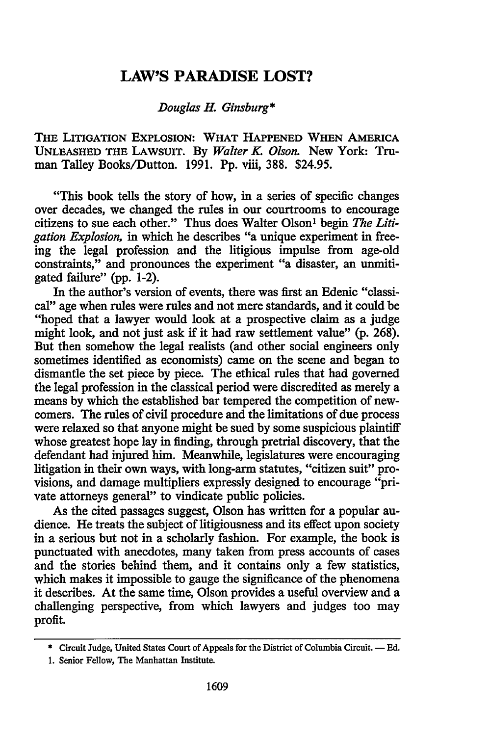### **LAW'S PARADISE LOST?**

#### *Douglas* H. *Ginsburg\**

THE LITIGATION EXPLOSION: WHAT HAPPENED WHEN AMERICA UNLEASHED THE LAWSUIT. By *Walter K. Olson.* New York: Truman Talley Books/Dutton. 1991. Pp. viii, 388. \$24.95.

"This book tells the story of how, in a series of specific changes over decades, we changed the rules in our courtrooms to encourage citizens to sue each other." Thus does Walter Olson1 begin *The Litigation Explosion,* in which he describes "a unique experiment in freeing the legal profession and the litigious impulse from age-old constraints," and pronounces the experiment "a disaster, an unmitigated failure" (pp. 1-2).

In the author's version of events, there was first an Edenic "classical" age when rules were rules and not mere standards, and it could be "hoped that a lawyer would look at a prospective claim as a judge might look, and not just ask if it had raw settlement value" (p. 268). But then somehow the legal realists (and other social engineers only sometimes identified as economists) came on the scene and began to dismantle the set piece by piece. The ethical rules that had governed the legal profession in the classical period were discredited as merely a means by which the established bar tempered the competition of newcomers. The rules of civil procedure and the limitations of due process were relaxed so that anyone might be sued by some suspicious plaintiff whose greatest hope lay in finding, through pretrial discovery, that the defendant had injured him. Meanwhile, legislatures were encouraging litigation in their own ways, with long-arm statutes, "citizen suit" provisions, and damage multipliers expressly designed to encourage "private attorneys general" to vindicate public policies.

As the cited passages suggest, Olson has written for a popular audience. He treats the subject of litigiousness and its effect upon society in a serious but not in a scholarly fashion. For example, the book is punctuated with anecdotes, many taken from press accounts of cases and the stories behind them, and it contains only a few statistics, which makes it impossible to gauge the significance of the phenomena it describes. At the same time, Olson provides a useful overview and a challenging perspective, from which lawyers and judges too may profit.

<sup>•</sup> Circuit Judge, United States Court of Appeals for the District of Columbia Circuit. - Ed.

<sup>1.</sup> Senior Fellow, The Manhattan Institute.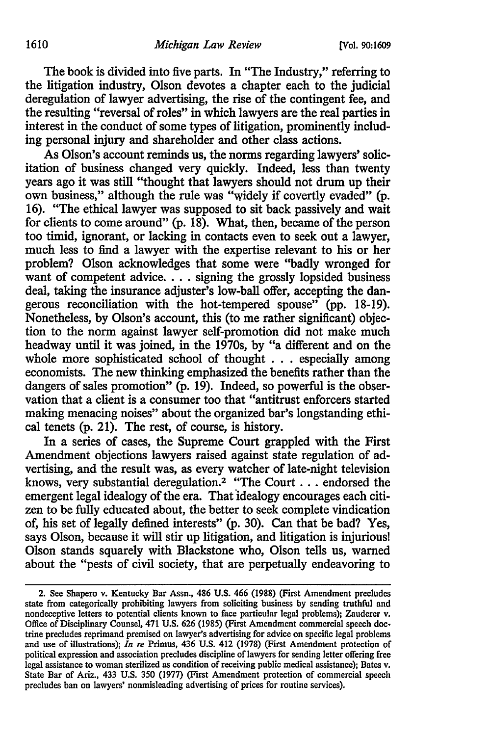The book is divided into five parts. In "The Industry," referring to the litigation industry, Olson devotes a chapter each to the judicial deregulation of lawyer advertising, the rise of the contingent fee, and the resulting "reversal of roles" in which lawyers are the real parties in interest in the conduct of some types of litigation, prominently including personal injury and shareholder and other class actions.

As Olson's account reminds us, the norms regarding lawyers' solicitation of business changed very quickly. Indeed, less than twenty years ago it was still "thought that lawyers should not drum up their own business," although the rule was "widely if covertly evaded" (p. 16). "The ethical lawyer was supposed to sit back passively and wait for clients to come around" (p.  $18$ ). What, then, became of the person too timid, ignorant, or lacking in contacts even to seek out a lawyer, much less to find a lawyer with the expertise relevant to his or her problem? Olson acknowledges that some were "badly wronged for want of competent advice.  $\ldots$  signing the grossly lopsided business deal, taking the insurance adjuster's low-ball offer, accepting the dangerous reconciliation with the hot-tempered spouse" (pp. 18-19). Nonetheless, by Olson's account, this (to me rather significant) objection to the norm against lawyer self-promotion did not make much headway until it was joined, in the 1970s, by "a different and on the whole more sophisticated school of thought . . . especially among economists. The new thinking emphasized the benefits rather than the dangers of sales promotion"  $(p. 19)$ . Indeed, so powerful is the observation that a client is a consumer too that "antitrust enforcers started making menacing noises" about the organized bar's longstanding ethical tenets (p. 21). The rest, of course, is history.

In a series of cases, the Supreme Court grappled with the First Amendment objections lawyers raised against state regulation of advertising, and the result was, as every watcher of late-night television knows, very substantial deregulation.<sup>2</sup> "The Court  $\dots$  endorsed the emergent legal idealogy of the era. That idealogy encourages each citizen to be fully educated about, the better to seek complete vindication of, his set of legally defined interests" (p. 30). Can that be bad? Yes, says Olson, because it will stir up litigation, and litigation is injurious! Olson stands squarely with Blackstone who, Olson tells us, warned about the "pests of civil society, that are perpetually endeavoring to

<sup>2.</sup> See Shapero v. Kentucky Bar Assn., 486 U.S. 466 (1988) (First Amendment precludes state from categorically prohibiting lawyers from soliciting business by sending truthful and nondeceptive letters to potential clients known to face particular legal problems); Zauderer v. Office of Disciplinary Counsel, 471 U.S. 626 (1985) (First Amendment commercial speech doc· trine precludes reprimand premised on lawyer's advertising for advice on specific legal problems and use of illustrations); *In re* Primus, 436 U.S. 412 (1978) (First Amendment protection of political expression and association precludes discipline of lawyers for sending letter offering free legal assistance to woman sterilized as condition of receiving public medical assistance); Bates v. State Bar of Ariz., 433 U.S. 350 (1977) (First Amendment protection of commercial speech precludes ban on lawyers' nonmisleading advertising of prices for routine services).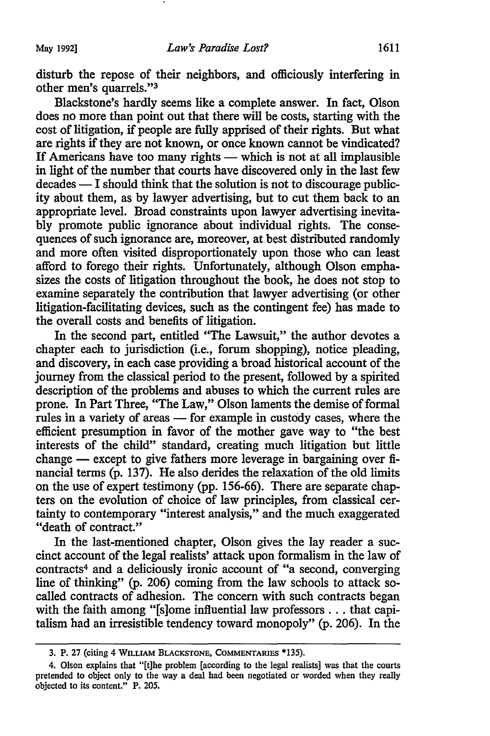disturb the repose of their neighbors, and officiously interfering in other men's quarrels."3

Blackstone's hardly seems like a complete answer. In fact, Olson does no more than point out that there will be costs, starting with the cost of litigation, if people are fully apprised of their rights. But what are rights if they are not known, or once known cannot be vindicated? If Americans have too many rights  $-$  which is not at all implausible in light of the number that courts have discovered only in the last few  $decades$ — I should think that the solution is not to discourage publicity about them, as by lawyer advertising, but to cut them back to an appropriate level. Broad constraints upon lawyer advertising inevitably promote public ignorance about individual rights. The consequences of such ignorance are, moreover, at best distributed randomly and more often visited disproportionately upon those who can least afford to forego their rights. Unfortunately, although Olson emphasizes the costs of litigation throughout the book, he does not stop to examine separately the contribution that lawyer advertising (or other litigation-facilitating devices, such as the contingent fee) has made to the overall costs and benefits of litigation.

In the second part, entitled "The Lawsuit," the author devotes a chapter each to jurisdiction (i.e., forum shopping), notice pleading, and discovery, in each case providing a broad historical account of the journey from the classical period to the present, followed by a spirited description of the problems and abuses to which the current rules are prone. In Part Three, "The Law," Olson laments the demise of formal rules in a variety of areas — for example in custody cases, where the efficient presumption in favor of the mother gave way to "the best interests of the child" standard, creating much litigation but little change — except to give fathers more leverage in bargaining over financial terms (p. 137). He also derides the relaxation of the old limits on the use of expert testimony (pp. 156-66). There are separate chapters on the evolution of choice of law principles, from classical certainty to contemporary "interest analysis," and the much exaggerated "death of contract."

In the last-mentioned chapter, Olson gives the lay reader a succinct account of the legal realists' attack upon formalism in the law of contracts4 and a deliciously ironic account of "a second, converging line of thinking" (p. 206) coming from the law schools to attack socalled contracts of adhesion. The concern with such contracts began with the faith among "[s]ome influential law professors ... that capitalism had an irresistible tendency toward monopoly" (p. 206). In the

<sup>3.</sup> P. 27 (citing 4 WILLIAM BLACKSTONE, COMMENTARIES \*135).

<sup>4.</sup> Olson explains that "[t]he problem [according to the legal realists] was that the courts pretended to object only to the way a deal had been negotiated or worded when they really objected to its content." P. 205.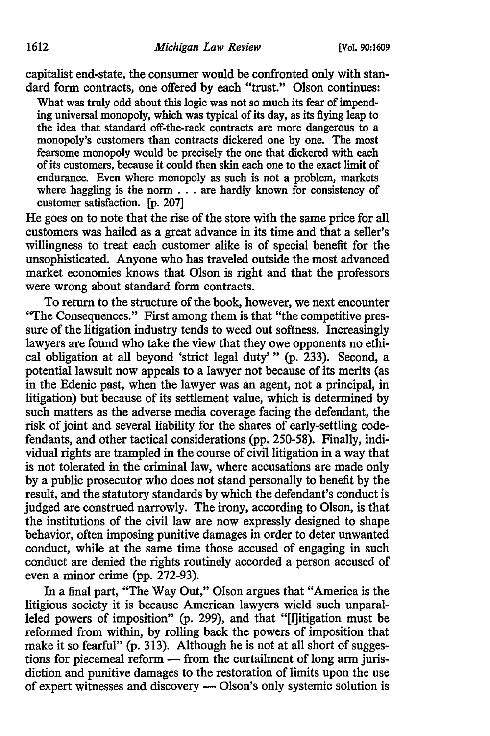capitalist end-state, the consumer would be confronted only with standard form contracts, one offered by each "trust." Olson continues:

What was truly odd about this logic was not so much its fear of impending universal monopoly, which was typical of its day, as its flying leap to the idea that standard off-the-rack contracts are more dangerous to a monopoly's customers than contracts dickered one by one. The most fearsome monopoly would be precisely the one that dickered with each of its customers, because it could then skin each one to the exact limit of endurance. Even where monopoly as such is not a problem, markets where haggling is the norm . . . are hardly known for consistency of customer satisfaction. [p. 207]

He goes on to note that the rise of the store with the same price for all customers was hailed as a great advance in its time and that a seller's willingness to treat each customer alike is of special benefit for the unsophisticated. Anyone who has traveled outside the most advanced market economies knows that Olson is right and that the professors were wrong about standard form contracts.

To return to the structure of the book, however, we next encounter "The Consequences." First among them is that "the competitive pressure of the litigation industry tends to weed out softness. Increasingly lawyers are found who take the view that they owe opponents no ethical obligation at all beyond 'strict legal duty' " (p. 233). Second, a potential lawsuit now appeals to a lawyer not because of its merits (as in the Edenic past, when the lawyer was an agent, not a principal, in litigation) but because of its settlement value, which is determined by such matters as the adverse media coverage facing the defendant, the risk of joint and several liability for the shares of early-settling codefendants, and other tactical considerations (pp. 250-58). Finally, individual rights are trampled in the course of civil litigation in a way that is not tolerated in the criminal law, where accusations are made only by a public prosecutor who does not stand personally to benefit by the result, and the statutory standards by which the defendant's conduct is judged are construed narrowly. The irony, according to Olson, is that the institutions of the civil law are now expressly designed to shape behavior, often imposing punitive damages in order to deter unwanted conduct, while at the same time those accused of engaging in such conduct are denied the rights routinely accorded a person accused of even a minor crime (pp. 272-93).

In a final part, "The Way Out," Olson argues that "America is the litigious society it is because American lawyers wield such unparalleled powers of imposition" (p. 299), and that "[l]itigation must be reformed from within, by rolling back the powers of imposition that make it so fearful" (p. 313). Although he is not at all short of suggestions for piecemeal reform - from the curtailment of long arm jurisdiction and punitive damages to the restoration of limits upon the use of expert witnesses and discovery - Olson's only systemic solution is